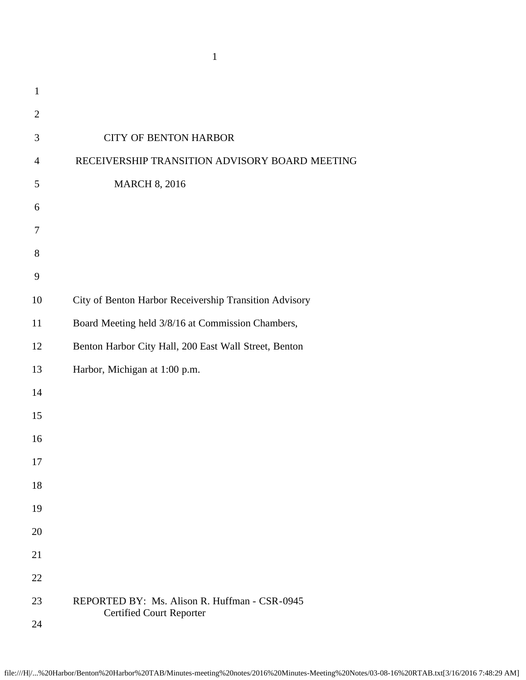|                | $\mathbf{1}$                                           |
|----------------|--------------------------------------------------------|
| $\mathbf{1}$   |                                                        |
| $\mathfrak{2}$ |                                                        |
| 3              | <b>CITY OF BENTON HARBOR</b>                           |
| $\overline{4}$ | RECEIVERSHIP TRANSITION ADVISORY BOARD MEETING         |
| 5              | <b>MARCH 8, 2016</b>                                   |
| 6              |                                                        |
| $\tau$         |                                                        |
| 8              |                                                        |
| 9              |                                                        |
| 10             | City of Benton Harbor Receivership Transition Advisory |
| 11             | Board Meeting held 3/8/16 at Commission Chambers,      |
| 12             | Benton Harbor City Hall, 200 East Wall Street, Benton  |
| 13             | Harbor, Michigan at 1:00 p.m.                          |
| 14             |                                                        |
| 15             |                                                        |
| 16             |                                                        |
| 17             |                                                        |
| 18             |                                                        |
| 19             |                                                        |
| 20             |                                                        |
| 21             |                                                        |
| 22             |                                                        |
| 23             | REPORTED BY: Ms. Alison R. Huffman - CSR-0945          |
| 24             | <b>Certified Court Reporter</b>                        |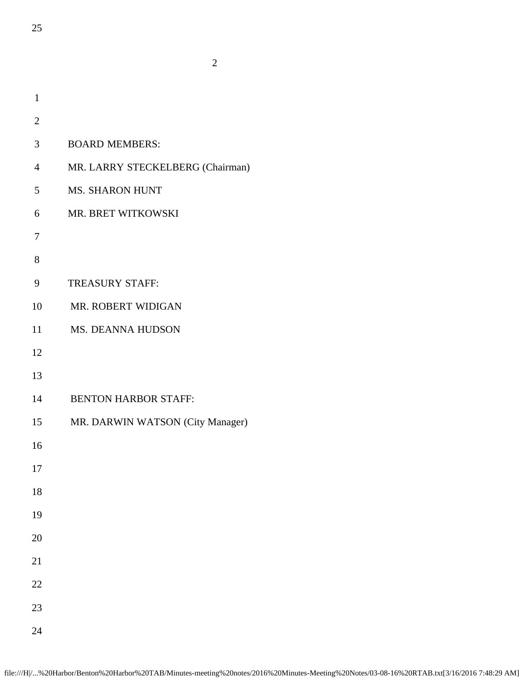| $\mathbf{1}$   |                                  |
|----------------|----------------------------------|
| $\overline{2}$ |                                  |
| 3              | <b>BOARD MEMBERS:</b>            |
| $\overline{4}$ | MR. LARRY STECKELBERG (Chairman) |
| 5              | <b>MS. SHARON HUNT</b>           |
| 6              | MR. BRET WITKOWSKI               |
| 7              |                                  |
| 8              |                                  |
| 9              | <b>TREASURY STAFF:</b>           |
| 10             | MR. ROBERT WIDIGAN               |
| 11             | MS. DEANNA HUDSON                |
| 12             |                                  |
| 13             |                                  |
| 14             | <b>BENTON HARBOR STAFF:</b>      |
| 15             | MR. DARWIN WATSON (City Manager) |
| 16             |                                  |
| 17             |                                  |
| 18             |                                  |
| 19             |                                  |
| 20             |                                  |
| 21             |                                  |
| 22             |                                  |
| 23             |                                  |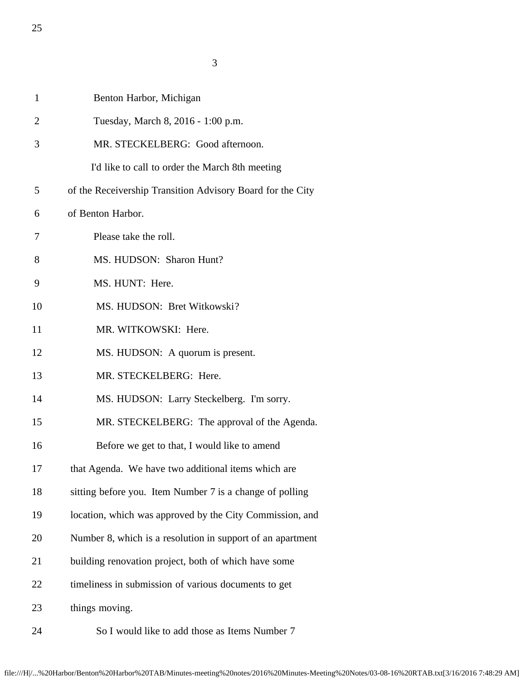3

| $\mathbf{1}$   | Benton Harbor, Michigan                                    |
|----------------|------------------------------------------------------------|
| $\overline{2}$ | Tuesday, March 8, 2016 - 1:00 p.m.                         |
| 3              | MR. STECKELBERG: Good afternoon.                           |
|                | I'd like to call to order the March 8th meeting            |
| 5              | of the Receivership Transition Advisory Board for the City |
| 6              | of Benton Harbor.                                          |
| 7              | Please take the roll.                                      |
| 8              | MS. HUDSON: Sharon Hunt?                                   |
| 9              | MS. HUNT: Here.                                            |
| 10             | MS. HUDSON: Bret Witkowski?                                |
| 11             | MR. WITKOWSKI: Here.                                       |
| 12             | MS. HUDSON: A quorum is present.                           |
| 13             | MR. STECKELBERG: Here.                                     |
| 14             | MS. HUDSON: Larry Steckelberg. I'm sorry.                  |
| 15             | MR. STECKELBERG: The approval of the Agenda.               |
| 16             | Before we get to that, I would like to amend               |
| 17             | that Agenda. We have two additional items which are        |
| 18             | sitting before you. Item Number 7 is a change of polling   |
| 19             | location, which was approved by the City Commission, and   |
| 20             | Number 8, which is a resolution in support of an apartment |
| 21             | building renovation project, both of which have some       |
| 22             | timeliness in submission of various documents to get       |
| 23             | things moving.                                             |
| 24             | So I would like to add those as Items Number 7             |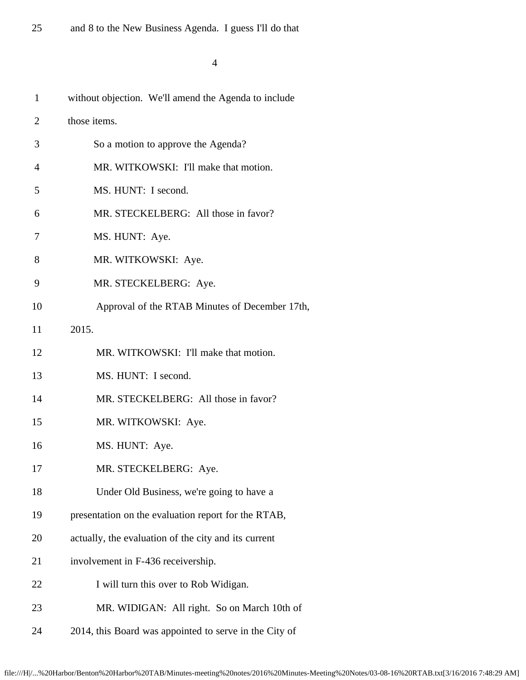| $\mathbf{1}$   | without objection. We'll amend the Agenda to include   |
|----------------|--------------------------------------------------------|
| $\overline{2}$ | those items.                                           |
| 3              | So a motion to approve the Agenda?                     |
| 4              | MR. WITKOWSKI: I'll make that motion.                  |
| 5              | MS. HUNT: I second.                                    |
| 6              | MR. STECKELBERG: All those in favor?                   |
| 7              | MS. HUNT: Aye.                                         |
| 8              | MR. WITKOWSKI: Aye.                                    |
| 9              | MR. STECKELBERG: Aye.                                  |
| 10             | Approval of the RTAB Minutes of December 17th,         |
| 11             | 2015.                                                  |
| 12             | MR. WITKOWSKI: I'll make that motion.                  |
| 13             | MS. HUNT: I second.                                    |
| 14             | MR. STECKELBERG: All those in favor?                   |
| 15             | MR. WITKOWSKI: Aye.                                    |
| 16             | MS. HUNT: Aye.                                         |
| 17             | MR. STECKELBERG: Aye.                                  |
| 18             | Under Old Business, we're going to have a              |
| 19             | presentation on the evaluation report for the RTAB,    |
| 20             | actually, the evaluation of the city and its current   |
| 21             | involvement in F-436 receivership.                     |
| 22             | I will turn this over to Rob Widigan.                  |
| 23             | MR. WIDIGAN: All right. So on March 10th of            |
| 24             | 2014, this Board was appointed to serve in the City of |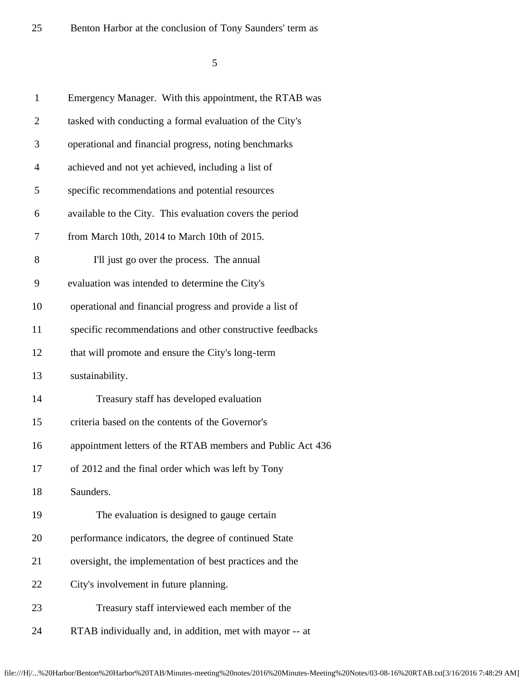25 Benton Harbor at the conclusion of Forty Saunders<sup>4</sup> (27/16)

| $\mathbf{1}$   | Emergency Manager. With this appointment, the RTAB was     |
|----------------|------------------------------------------------------------|
| $\overline{2}$ | tasked with conducting a formal evaluation of the City's   |
| 3              | operational and financial progress, noting benchmarks      |
| $\overline{4}$ | achieved and not yet achieved, including a list of         |
| 5              | specific recommendations and potential resources           |
| 6              | available to the City. This evaluation covers the period   |
| 7              | from March 10th, 2014 to March 10th of 2015.               |
| 8              | I'll just go over the process. The annual                  |
| 9              | evaluation was intended to determine the City's            |
| 10             | operational and financial progress and provide a list of   |
| 11             | specific recommendations and other constructive feedbacks  |
| 12             | that will promote and ensure the City's long-term          |
| 13             | sustainability.                                            |
| 14             | Treasury staff has developed evaluation                    |
| 15             | criteria based on the contents of the Governor's           |
| 16             | appointment letters of the RTAB members and Public Act 436 |
| 17             | of 2012 and the final order which was left by Tony         |
| 18             | Saunders.                                                  |
| 19             | The evaluation is designed to gauge certain                |
| 20             | performance indicators, the degree of continued State      |
| 21             | oversight, the implementation of best practices and the    |
| 22             | City's involvement in future planning.                     |
| 23             | Treasury staff interviewed each member of the              |
| 24             | RTAB individually and, in addition, met with mayor -- at   |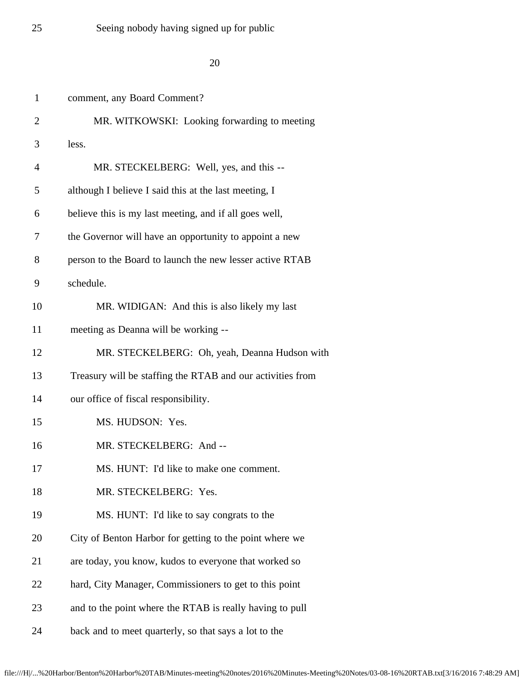## $25$  Seeing nobody having signed up for  $\beta$  and  $\alpha$  - 4/27/16

| $\mathbf{1}$   | comment, any Board Comment?                                |
|----------------|------------------------------------------------------------|
| $\overline{2}$ | MR. WITKOWSKI: Looking forwarding to meeting               |
| 3              | less.                                                      |
| 4              | MR. STECKELBERG: Well, yes, and this --                    |
| 5              | although I believe I said this at the last meeting, I      |
| 6              | believe this is my last meeting, and if all goes well,     |
| 7              | the Governor will have an opportunity to appoint a new     |
| 8              | person to the Board to launch the new lesser active RTAB   |
| 9              | schedule.                                                  |
| 10             | MR. WIDIGAN: And this is also likely my last               |
| 11             | meeting as Deanna will be working --                       |
| 12             | MR. STECKELBERG: Oh, yeah, Deanna Hudson with              |
| 13             | Treasury will be staffing the RTAB and our activities from |
| 14             | our office of fiscal responsibility.                       |
| 15             | MS. HUDSON: Yes.                                           |
| 16             | MR. STECKELBERG: And --                                    |
| 17             | MS. HUNT: I'd like to make one comment.                    |
| 18             | MR. STECKELBERG: Yes.                                      |
| 19             | MS. HUNT: I'd like to say congrats to the                  |
| 20             | City of Benton Harbor for getting to the point where we    |
| 21             | are today, you know, kudos to everyone that worked so      |
| 22             | hard, City Manager, Commissioners to get to this point     |
| 23             | and to the point where the RTAB is really having to pull   |
| 24             | back and to meet quarterly, so that says a lot to the      |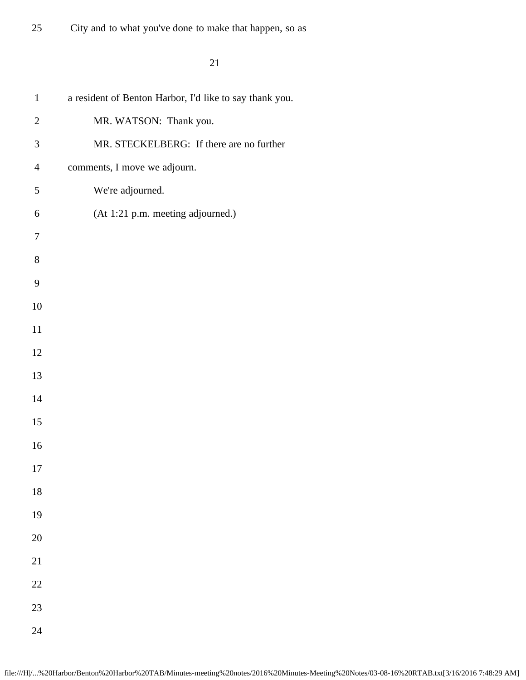25 City and to what you've done to make that happen,  $\frac{1}{2}$  / 16

| $\mathbf{1}$     | a resident of Benton Harbor, I'd like to say thank you. |
|------------------|---------------------------------------------------------|
| $\overline{2}$   | MR. WATSON: Thank you.                                  |
| 3                | MR. STECKELBERG: If there are no further                |
| $\overline{4}$   | comments, I move we adjourn.                            |
| $\mathfrak s$    | We're adjourned.                                        |
| $\sqrt{6}$       | (At 1:21 p.m. meeting adjourned.)                       |
| $\boldsymbol{7}$ |                                                         |
| $8\,$            |                                                         |
| $\mathbf{9}$     |                                                         |
| $10\,$           |                                                         |
| $11\,$           |                                                         |
| 12               |                                                         |
| 13               |                                                         |
| $14\,$           |                                                         |
| $15\,$           |                                                         |
| $16\,$           |                                                         |
| $17\,$           |                                                         |
| $18\,$           |                                                         |
| 19               |                                                         |
| $20\,$           |                                                         |
| 21               |                                                         |
| $22\,$           |                                                         |
| 23               |                                                         |
| 24               |                                                         |
|                  |                                                         |